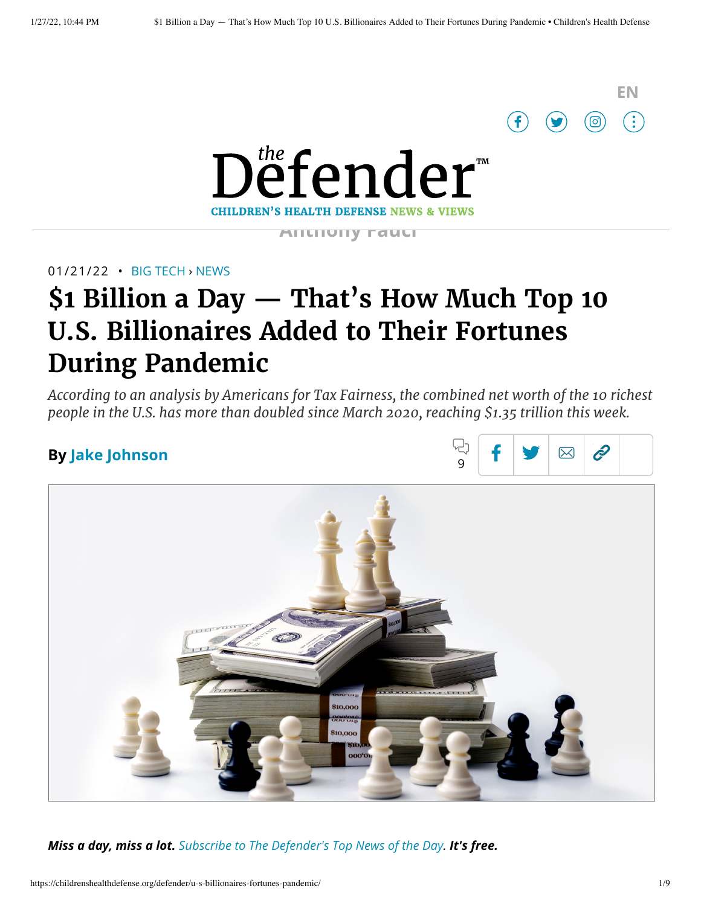



**Anthony Fauci'**

#### 01/21/22 • BIG [TECH](https://childrenshealthdefense.org/defender_category/big-tech) › [NEWS](https://childrenshealthdefense.org/defender-news)

# **\$1 Billion a Day — That's How Much Top 10 U.S. Billionaires Added to Their Fortunes During Pandemic**

*According to an analysis by Americans for Tax Fairness, the combined net worth of the 10 richest people in the U.S. has more than doubled since March 2020, reaching \$1.35 trillion this week.*

### **By [Jake Johnson](https://childrenshealthdefense.org/authors/jake-johnson/)**





*Miss a day, miss a lot. Subscribe to [The Defender's](https://childrenshealthdefense.org/about-us/sign-up/?utm_source=top_of_article&utm_medium=the_defender&utm_campaign=sign_ups) Top News of the Day. It's free.*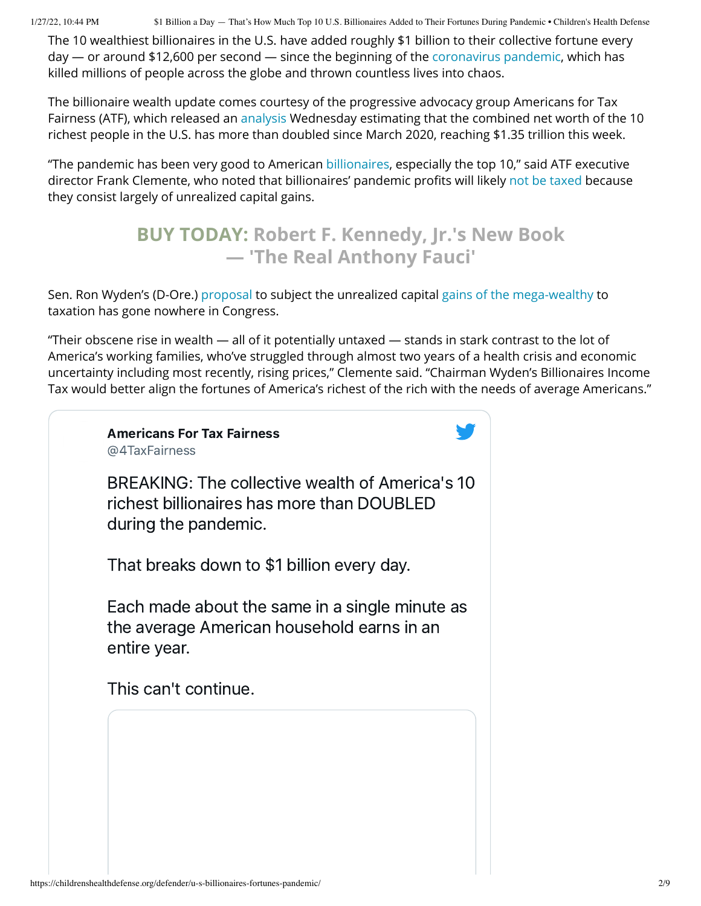1/27/22, 10:44 PM \$1 Billion a Day — That's How Much Top 10 U.S. Billionaires Added to Their Fortunes During Pandemic • Children's Health Defense

The 10 wealthiest billionaires in the U.S. have added roughly \$1 billion to their collective fortune every day — or around \$12,600 per second — since the beginning of the [coronavirus](https://childrenshealthdefense.org/defender_category/covid/) pandemic, which has killed millions of people across the globe and thrown countless lives into chaos.

The billionaire wealth update comes courtesy of the progressive advocacy group Americans for Tax Fairness (ATF), which released an [analysis](https://americansfortaxfairness.org/issue/top-10-american-billionaires-get-1-billion-richer-every-day/) Wednesday estimating that the combined net worth of the 10 richest people in the U.S. has more than doubled since March 2020, reaching \$1.35 trillion this week.

"The pandemic has been very good to American [billionaires](https://childrenshealthdefense.org/defender/covid-pandemic-billionaires-trillions-new-wealth/), especially the top 10," said ATF executive director Frank Clemente, who noted that billionaires' pandemic profits will likely not be [taxed](https://childrenshealthdefense.org/defender/propublica-irs-data-top-billionaires-income-taxes/) because they consist largely of unrealized capital gains.

## **BUY TODAY: Robert F. Kennedy, Jr.'s New Book — 'The [Real Anthony](https://www.amazon.com/Real-Anthony-Fauci-Democracy-Childrens/dp/1510766804) Fauci'**

Sen. Ron Wyden's (D-Ore.) [proposal](https://www.finance.senate.gov/chairmans-news/wyden-unveils-billionaires-income-tax) to subject the unrealized capital gains of the [mega-wealthy](https://childrenshealthdefense.org/defender/bezos-fortune-lawmakers-tax-billionaires/) to taxation has gone nowhere in Congress.

"Their obscene rise in wealth — all of it potentially untaxed — stands in stark contrast to the lot of America's working families, who've struggled through almost two years of a health crisis and economic uncertainty including most recently, rising prices," Clemente said. "Chairman Wyden's Billionaires Income Tax would better align the fortunes of America's richest of the rich with the needs of average Americans."

### Americans For Tax Fairness [@4TaxFairness](https://twitter.com/4TaxFairness?ref_src=twsrc%5Etfw%7Ctwcamp%5Etweetembed%7Ctwterm%5E1483867217980702725%7Ctwgr%5E%7Ctwcon%5Es1_&ref_url=https%3A%2F%2Fchildrenshealthdefense.org%2Fdefender%2Fu-s-billionaires-fortunes-pandemic%2F)

BREAKING: The collective wealth of America's 10 richest billionaires has more than DOUBLED

during the pandemic.

That breaks down to \$1 billion every day.

Each made about the same in a single minute as the average American household earns in an entire year.

This can't continue.